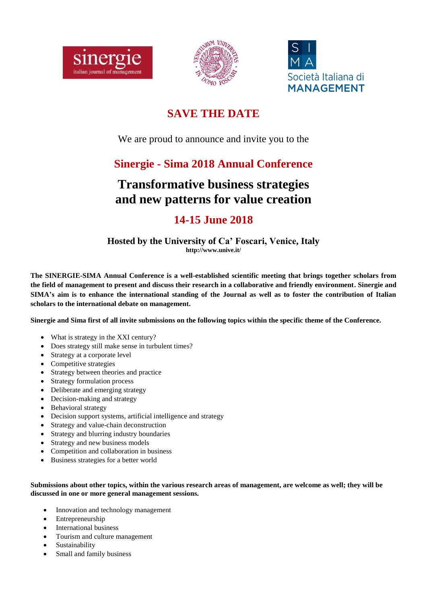





## **SAVE THE DATE**

We are proud to announce and invite you to the

## **Sinergie - Sima 2018 Annual Conference**

# **Transformative business strategies and new patterns for value creation**

## **14-15 June 2018**

#### **Hosted by the University of Ca' Foscari, Venice, Italy http://www.unive.it/**

**The SINERGIE-SIMA Annual Conference is a well-established scientific meeting that brings together scholars from the field of management to present and discuss their research in a collaborative and friendly environment. Sinergie and SIMA's aim is to enhance the international standing of the Journal as well as to foster the contribution of Italian scholars to the international debate on management.**

**Sinergie and Sima first of all invite submissions on the following topics within the specific theme of the Conference.**

- What is strategy in the XXI century?
- Does strategy still make sense in turbulent times?
- Strategy at a corporate level
- Competitive strategies
- Strategy between theories and practice
- Strategy formulation process
- Deliberate and emerging strategy
- Decision-making and strategy
- Behavioral strategy
- Decision support systems, artificial intelligence and strategy
- Strategy and value-chain deconstruction
- Strategy and blurring industry boundaries
- Strategy and new business models
- Competition and collaboration in business
- Business strategies for a better world

#### **Submissions about other topics, within the various research areas of management, are welcome as well; they will be discussed in one or more general management sessions.**

- Innovation and technology management
- Entrepreneurship
- International business
- Tourism and culture management
- Sustainability
- Small and family business